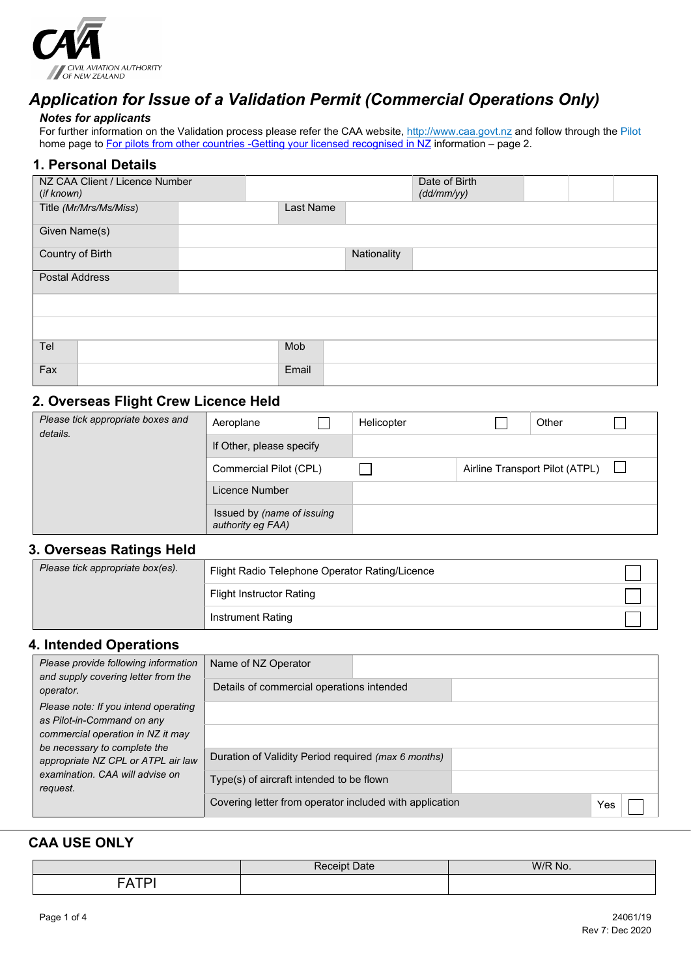

## *Application for Issue of a Validation Permit (Commercial Operations Only)*

#### *Notes for applicants*

For further information on the Validation process please refer the CAA website[, http://www.caa.govt.nz](http://www.caa.govt.nz/) and follow through the Pilot home page t[o For pilots from other countries -Getting your licensed recognised in NZ](http://www.caa.govt.nz/pilots/Flight_Crew_Recognition_Info.pdf) information – page 2.

#### **1. Personal Details**

| NZ CAA Client / Licence Number<br>(if known) |           |             | Date of Birth<br>(dd/mm/yy) |  |  |
|----------------------------------------------|-----------|-------------|-----------------------------|--|--|
| Title (Mr/Mrs/Ms/Miss)                       | Last Name |             |                             |  |  |
| Given Name(s)                                |           |             |                             |  |  |
| Country of Birth                             |           | Nationality |                             |  |  |
| <b>Postal Address</b>                        |           |             |                             |  |  |
|                                              |           |             |                             |  |  |
|                                              |           |             |                             |  |  |
| Tel                                          | Mob       |             |                             |  |  |
| Fax                                          | Email     |             |                             |  |  |

### **2. Overseas Flight Crew Licence Held**

| Please tick appropriate boxes and<br>details. | Aeroplane                                       | Helicopter | Other                          |  |
|-----------------------------------------------|-------------------------------------------------|------------|--------------------------------|--|
|                                               | If Other, please specify                        |            |                                |  |
|                                               | Commercial Pilot (CPL)                          |            | Airline Transport Pilot (ATPL) |  |
|                                               | Licence Number                                  |            |                                |  |
|                                               | Issued by (name of issuing<br>authority eg FAA) |            |                                |  |

## **3. Overseas Ratings Held**

| Please tick appropriate box(es). | Flight Radio Telephone Operator Rating/Licence |  |
|----------------------------------|------------------------------------------------|--|
|                                  | Flight Instructor Rating                       |  |
|                                  | Instrument Rating                              |  |

### **4. Intended Operations**

| Please provide following information<br>and supply covering letter from the                                       | Name of NZ Operator                                            |
|-------------------------------------------------------------------------------------------------------------------|----------------------------------------------------------------|
| operator.                                                                                                         | Details of commercial operations intended                      |
| Please note: If you intend operating                                                                              |                                                                |
| as Pilot-in-Command on any<br>commercial operation in NZ it may                                                   |                                                                |
| be necessary to complete the<br>appropriate NZ CPL or ATPL air law<br>examination. CAA will advise on<br>request. |                                                                |
|                                                                                                                   | Duration of Validity Period required (max 6 months)            |
|                                                                                                                   | Type(s) of aircraft intended to be flown                       |
|                                                                                                                   | Covering letter from operator included with application<br>Yes |

#### **CAA USE ONLY**

|                      | D-<br>$\overline{\phantom{a}}$<br>$\omega$ ate<br>ZЕ<br>-- | W/R No. |
|----------------------|------------------------------------------------------------|---------|
| $- - -$<br>$ -$<br>A |                                                            |         |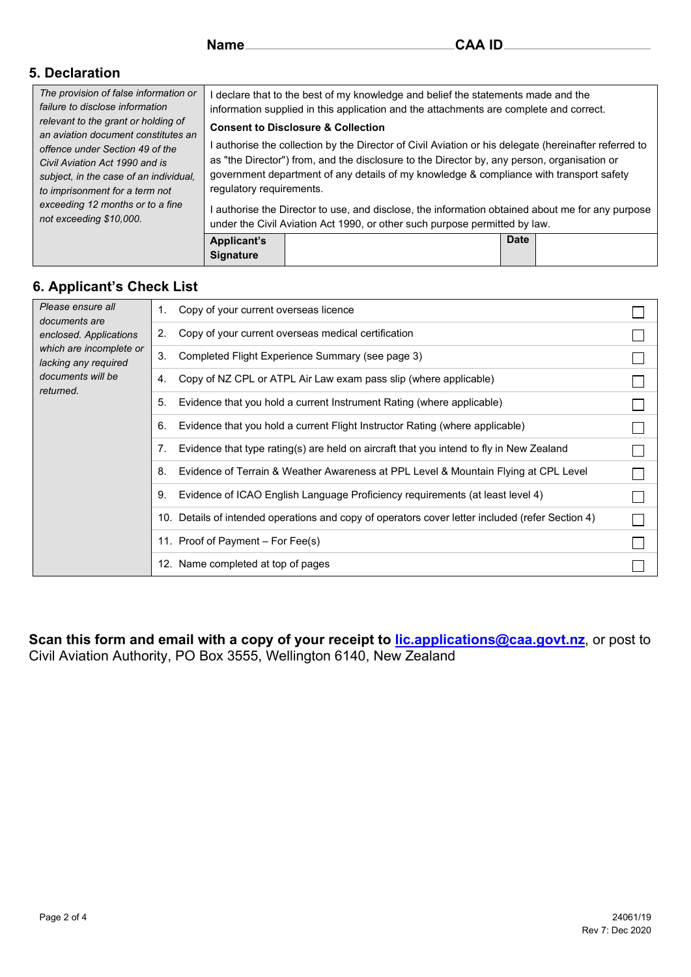## **5. Declaration**

| The provision of false information or<br>failure to disclose information<br>relevant to the grant or holding of<br>an aviation document constitutes an<br>offence under Section 49 of the<br>Civil Aviation Act 1990 and is<br>subject, in the case of an individual,<br>to imprisonment for a term not |                                                                                                                                                                                                                                                                                                                                                                              | I declare that to the best of my knowledge and belief the statements made and the<br>information supplied in this application and the attachments are complete and correct.    |             |  |
|---------------------------------------------------------------------------------------------------------------------------------------------------------------------------------------------------------------------------------------------------------------------------------------------------------|------------------------------------------------------------------------------------------------------------------------------------------------------------------------------------------------------------------------------------------------------------------------------------------------------------------------------------------------------------------------------|--------------------------------------------------------------------------------------------------------------------------------------------------------------------------------|-------------|--|
|                                                                                                                                                                                                                                                                                                         | <b>Consent to Disclosure &amp; Collection</b><br>I authorise the collection by the Director of Civil Aviation or his delegate (hereinafter referred to<br>as "the Director") from, and the disclosure to the Director by, any person, organisation or<br>government department of any details of my knowledge & compliance with transport safety<br>regulatory requirements. |                                                                                                                                                                                |             |  |
| exceeding 12 months or to a fine<br>not exceeding \$10,000.                                                                                                                                                                                                                                             |                                                                                                                                                                                                                                                                                                                                                                              | l authorise the Director to use, and disclose, the information obtained about me for any purpose<br>under the Civil Aviation Act 1990, or other such purpose permitted by law. |             |  |
|                                                                                                                                                                                                                                                                                                         | <b>Applicant's</b><br><b>Signature</b>                                                                                                                                                                                                                                                                                                                                       |                                                                                                                                                                                | <b>Date</b> |  |

## **6. Applicant's Check List**

| Please ensure all<br>1.<br>documents are              | Copy of your current overseas licence                                                            |  |
|-------------------------------------------------------|--------------------------------------------------------------------------------------------------|--|
| 2.<br>enclosed. Applications                          | Copy of your current overseas medical certification                                              |  |
| which are incomplete or<br>3.<br>lacking any required | Completed Flight Experience Summary (see page 3)                                                 |  |
| documents will be<br>4.<br>returned.                  | Copy of NZ CPL or ATPL Air Law exam pass slip (where applicable)                                 |  |
| 5.                                                    | Evidence that you hold a current Instrument Rating (where applicable)                            |  |
| 6.                                                    | Evidence that you hold a current Flight Instructor Rating (where applicable)                     |  |
|                                                       | Evidence that type rating(s) are held on aircraft that you intend to fly in New Zealand          |  |
| 8.                                                    | Evidence of Terrain & Weather Awareness at PPL Level & Mountain Flying at CPL Level              |  |
| 9.                                                    | Evidence of ICAO English Language Proficiency requirements (at least level 4)                    |  |
|                                                       | 10. Details of intended operations and copy of operators cover letter included (refer Section 4) |  |
|                                                       | 11. Proof of Payment – For Fee(s)                                                                |  |
|                                                       | 12. Name completed at top of pages                                                               |  |

**Scan this form and email with a copy of your receipt to [lic.applications@caa.govt.nz](mailto:lic.applications@caa.govt.nz)**, or post to Civil Aviation Authority, PO Box 3555, Wellington 6140, New Zealand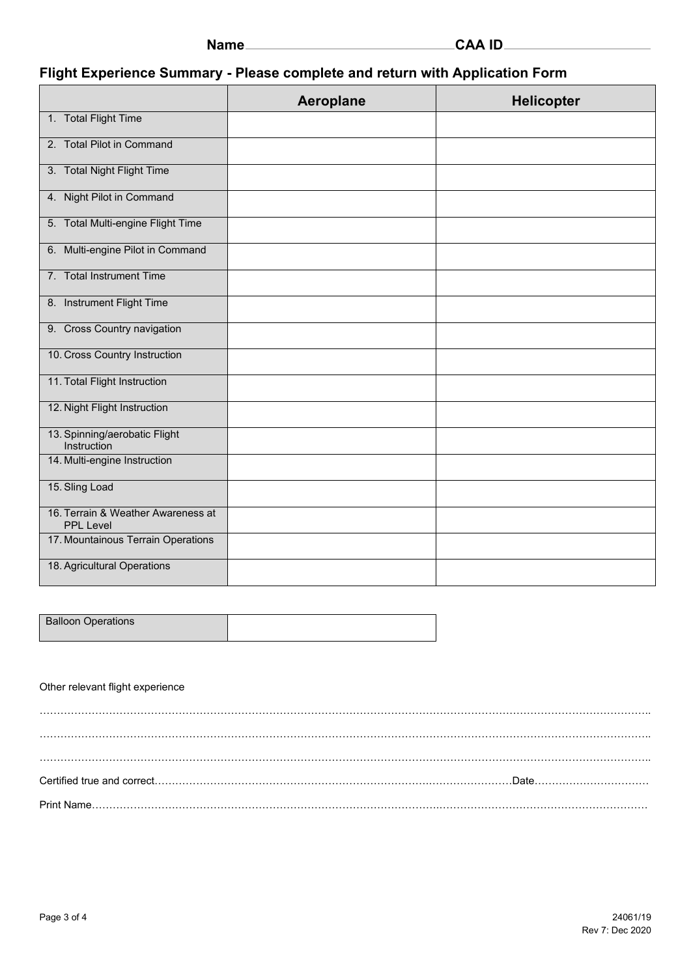| ıamı |  |
|------|--|
|------|--|

# **Flight Experience Summary - Please complete and return with Application Form**

|                                                        | Aeroplane | <b>Helicopter</b> |
|--------------------------------------------------------|-----------|-------------------|
| 1. Total Flight Time                                   |           |                   |
| 2. Total Pilot in Command                              |           |                   |
| 3. Total Night Flight Time                             |           |                   |
| 4. Night Pilot in Command                              |           |                   |
| 5. Total Multi-engine Flight Time                      |           |                   |
| 6. Multi-engine Pilot in Command                       |           |                   |
| 7. Total Instrument Time                               |           |                   |
| 8. Instrument Flight Time                              |           |                   |
| 9. Cross Country navigation                            |           |                   |
| 10. Cross Country Instruction                          |           |                   |
| 11. Total Flight Instruction                           |           |                   |
| 12. Night Flight Instruction                           |           |                   |
| 13. Spinning/aerobatic Flight<br>Instruction           |           |                   |
| 14. Multi-engine Instruction                           |           |                   |
| 15. Sling Load                                         |           |                   |
| 16. Terrain & Weather Awareness at<br><b>PPL Level</b> |           |                   |
| 17. Mountainous Terrain Operations                     |           |                   |
| 18. Agricultural Operations                            |           |                   |

| <b>Balloon Operations</b> |  |
|---------------------------|--|
|                           |  |

#### Other relevant flight experience